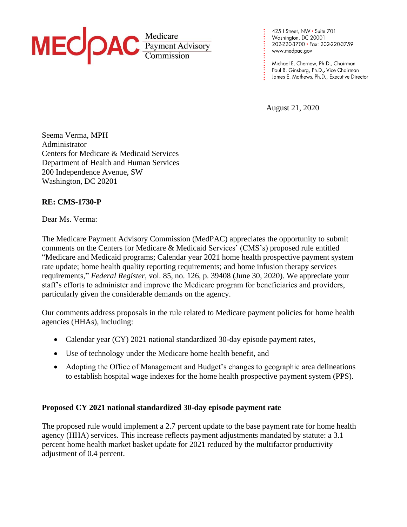

425 | Street, NW • Suite 701<br>Washington, DC 20001 202-220-3700 · Fax: 202-220-3759 www.medpac.gov

Michael E. Chernew, Ph.D., Chairman Paul B. Ginsburg, Ph.D., Vice Chairman James E. Mathews, Ph.D., Executive Director

August 21, 2020

**. . . . . . . . . . . . . . . . . . . . . . . .**

Seema Verma, MPH Administrator Centers for Medicare & Medicaid Services Department of Health and Human Services 200 Independence Avenue, SW Washington, DC 20201

# **RE: CMS-1730-P**

Dear Ms. Verma:

The Medicare Payment Advisory Commission (MedPAC) appreciates the opportunity to submit comments on the Centers for Medicare & Medicaid Services' (CMS's) proposed rule entitled "Medicare and Medicaid programs; Calendar year 2021 home health prospective payment system rate update; home health quality reporting requirements; and home infusion therapy services requirements," *Federal Register*, vol. 85, no. 126, p. 39408 (June 30, 2020). We appreciate your staff's efforts to administer and improve the Medicare program for beneficiaries and providers, particularly given the considerable demands on the agency.

Our comments address proposals in the rule related to Medicare payment policies for home health agencies (HHAs), including:

- Calendar year (CY) 2021 national standardized 30-day episode payment rates,
- Use of technology under the Medicare home health benefit, and
- Adopting the Office of Management and Budget's changes to geographic area delineations to establish hospital wage indexes for the home health prospective payment system (PPS).

#### **Proposed CY 2021 national standardized 30-day episode payment rate**

The proposed rule would implement a 2.7 percent update to the base payment rate for home health agency (HHA) services. This increase reflects payment adjustments mandated by statute: a 3.1 percent home health market basket update for 2021 reduced by the multifactor productivity adjustment of 0.4 percent.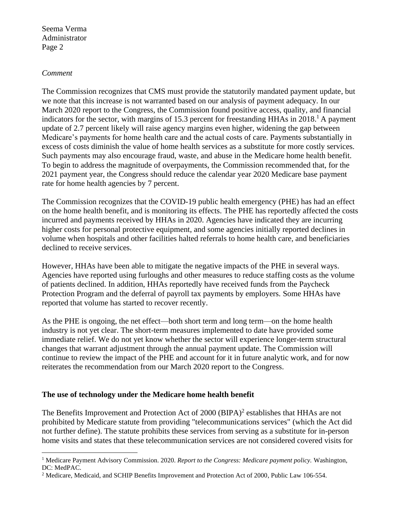#### *Comment*

The Commission recognizes that CMS must provide the statutorily mandated payment update, but we note that this increase is not warranted based on our analysis of payment adequacy. In our March 2020 report to the Congress, the Commission found positive access, quality, and financial indicators for the sector, with margins of 15.3 percent for freestanding HHAs in 2018.<sup>1</sup> A payment update of 2.7 percent likely will raise agency margins even higher, widening the gap between Medicare's payments for home health care and the actual costs of care. Payments substantially in excess of costs diminish the value of home health services as a substitute for more costly services. Such payments may also encourage fraud, waste, and abuse in the Medicare home health benefit. To begin to address the magnitude of overpayments, the Commission recommended that, for the 2021 payment year, the Congress should reduce the calendar year 2020 Medicare base payment rate for home health agencies by 7 percent.

The Commission recognizes that the COVID-19 public health emergency (PHE) has had an effect on the home health benefit, and is monitoring its effects. The PHE has reportedly affected the costs incurred and payments received by HHAs in 2020. Agencies have indicated they are incurring higher costs for personal protective equipment, and some agencies initially reported declines in volume when hospitals and other facilities halted referrals to home health care, and beneficiaries declined to receive services.

However, HHAs have been able to mitigate the negative impacts of the PHE in several ways. Agencies have reported using furloughs and other measures to reduce staffing costs as the volume of patients declined. In addition, HHAs reportedly have received funds from the Paycheck Protection Program and the deferral of payroll tax payments by employers. Some HHAs have reported that volume has started to recover recently.

As the PHE is ongoing, the net effect—both short term and long term—on the home health industry is not yet clear. The short-term measures implemented to date have provided some immediate relief. We do not yet know whether the sector will experience longer-term structural changes that warrant adjustment through the annual payment update. The Commission will continue to review the impact of the PHE and account for it in future analytic work, and for now reiterates the recommendation from our March 2020 report to the Congress.

#### **The use of technology under the Medicare home health benefit**

The Benefits Improvement and Protection Act of 2000 (BIPA)<sup>2</sup> establishes that HHAs are not prohibited by Medicare statute from providing "telecommunications services" (which the Act did not further define). The statute prohibits these services from serving as a substitute for in-person home visits and states that these telecommunication services are not considered covered visits for

<sup>1</sup> Medicare Payment Advisory Commission. 2020. *Report to the Congress: Medicare payment policy.* Washington, DC: MedPAC.

<sup>&</sup>lt;sup>2</sup> Medicare, Medicaid, and SCHIP Benefits Improvement and Protection Act of 2000, Public Law 106-554.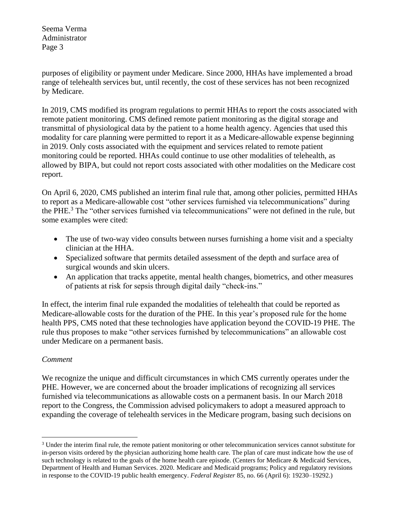purposes of eligibility or payment under Medicare. Since 2000, HHAs have implemented a broad range of telehealth services but, until recently, the cost of these services has not been recognized by Medicare.

In 2019, CMS modified its program regulations to permit HHAs to report the costs associated with remote patient monitoring. CMS defined remote patient monitoring as the digital storage and transmittal of physiological data by the patient to a home health agency. Agencies that used this modality for care planning were permitted to report it as a Medicare-allowable expense beginning in 2019. Only costs associated with the equipment and services related to remote patient monitoring could be reported. HHAs could continue to use other modalities of telehealth, as allowed by BIPA, but could not report costs associated with other modalities on the Medicare cost report.

On April 6, 2020, CMS published an interim final rule that, among other policies, permitted HHAs to report as a Medicare-allowable cost "other services furnished via telecommunications" during the PHE.<sup>3</sup> The "other services furnished via telecommunications" were not defined in the rule, but some examples were cited:

- The use of two-way video consults between nurses furnishing a home visit and a specialty clinician at the HHA.
- Specialized software that permits detailed assessment of the depth and surface area of surgical wounds and skin ulcers.
- An application that tracks appetite, mental health changes, biometrics, and other measures of patients at risk for sepsis through digital daily "check-ins."

In effect, the interim final rule expanded the modalities of telehealth that could be reported as Medicare-allowable costs for the duration of the PHE. In this year's proposed rule for the home health PPS, CMS noted that these technologies have application beyond the COVID-19 PHE. The rule thus proposes to make "other services furnished by telecommunications" an allowable cost under Medicare on a permanent basis.

# *Comment*

We recognize the unique and difficult circumstances in which CMS currently operates under the PHE. However, we are concerned about the broader implications of recognizing all services furnished via telecommunications as allowable costs on a permanent basis. In our March 2018 report to the Congress, the Commission advised policymakers to adopt a measured approach to expanding the coverage of telehealth services in the Medicare program, basing such decisions on

 $3$  Under the interim final rule, the remote patient monitoring or other telecommunication services cannot substitute for in-person visits ordered by the physician authorizing home health care. The plan of care must indicate how the use of such technology is related to the goals of the home health care episode. (Centers for Medicare  $\&$  Medicaid Services, Department of Health and Human Services. 2020. Medicare and Medicaid programs; Policy and regulatory revisions in response to the COVID-19 public health emergency. *Federal Register* 85, no. 66 (April 6): 19230–19292.)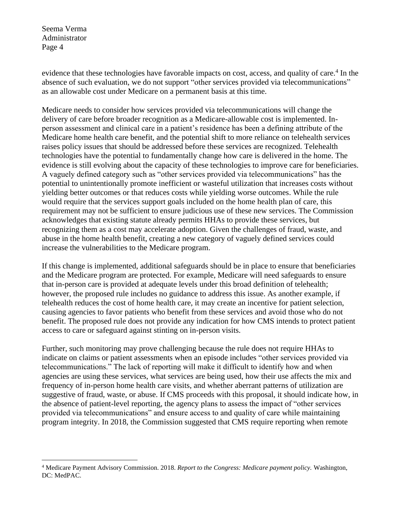evidence that these technologies have favorable impacts on cost, access, and quality of care.<sup>4</sup> In the absence of such evaluation, we do not support "other services provided via telecommunications" as an allowable cost under Medicare on a permanent basis at this time.

Medicare needs to consider how services provided via telecommunications will change the delivery of care before broader recognition as a Medicare-allowable cost is implemented. Inperson assessment and clinical care in a patient's residence has been a defining attribute of the Medicare home health care benefit, and the potential shift to more reliance on telehealth services raises policy issues that should be addressed before these services are recognized. Telehealth technologies have the potential to fundamentally change how care is delivered in the home. The evidence is still evolving about the capacity of these technologies to improve care for beneficiaries. A vaguely defined category such as "other services provided via telecommunications" has the potential to unintentionally promote inefficient or wasteful utilization that increases costs without yielding better outcomes or that reduces costs while yielding worse outcomes. While the rule would require that the services support goals included on the home health plan of care, this requirement may not be sufficient to ensure judicious use of these new services. The Commission acknowledges that existing statute already permits HHAs to provide these services, but recognizing them as a cost may accelerate adoption. Given the challenges of fraud, waste, and abuse in the home health benefit, creating a new category of vaguely defined services could increase the vulnerabilities to the Medicare program.

If this change is implemented, additional safeguards should be in place to ensure that beneficiaries and the Medicare program are protected. For example, Medicare will need safeguards to ensure that in-person care is provided at adequate levels under this broad definition of telehealth; however, the proposed rule includes no guidance to address this issue. As another example, if telehealth reduces the cost of home health care, it may create an incentive for patient selection, causing agencies to favor patients who benefit from these services and avoid those who do not benefit. The proposed rule does not provide any indication for how CMS intends to protect patient access to care or safeguard against stinting on in-person visits.

Further, such monitoring may prove challenging because the rule does not require HHAs to indicate on claims or patient assessments when an episode includes "other services provided via telecommunications." The lack of reporting will make it difficult to identify how and when agencies are using these services, what services are being used, how their use affects the mix and frequency of in-person home health care visits, and whether aberrant patterns of utilization are suggestive of fraud, waste, or abuse. If CMS proceeds with this proposal, it should indicate how, in the absence of patient-level reporting, the agency plans to assess the impact of "other services provided via telecommunications" and ensure access to and quality of care while maintaining program integrity. In 2018, the Commission suggested that CMS require reporting when remote

<sup>4</sup> Medicare Payment Advisory Commission. 2018. *Report to the Congress: Medicare payment policy.* Washington, DC: MedPAC.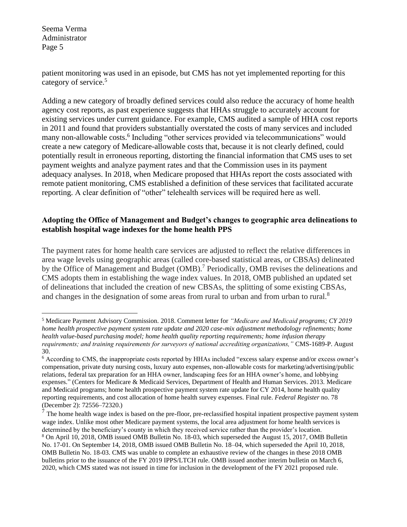patient monitoring was used in an episode, but CMS has not yet implemented reporting for this category of service.<sup>5</sup>

Adding a new category of broadly defined services could also reduce the accuracy of home health agency cost reports, as past experience suggests that HHAs struggle to accurately account for existing services under current guidance. For example, CMS audited a sample of HHA cost reports in 2011 and found that providers substantially overstated the costs of many services and included many non-allowable costs.<sup>6</sup> Including "other services provided via telecommunications" would create a new category of Medicare-allowable costs that, because it is not clearly defined, could potentially result in erroneous reporting, distorting the financial information that CMS uses to set payment weights and analyze payment rates and that the Commission uses in its payment adequacy analyses. In 2018, when Medicare proposed that HHAs report the costs associated with remote patient monitoring, CMS established a definition of these services that facilitated accurate reporting. A clear definition of "other" telehealth services will be required here as well.

## **Adopting the Office of Management and Budget's changes to geographic area delineations to establish hospital wage indexes for the home health PPS**

The payment rates for home health care services are adjusted to reflect the relative differences in area wage levels using geographic areas (called core-based statistical areas, or CBSAs) delineated by the Office of Management and Budget (OMB).<sup>7</sup> Periodically, OMB revises the delineations and CMS adopts them in establishing the wage index values. In 2018, OMB published an updated set of delineations that included the creation of new CBSAs, the splitting of some existing CBSAs, and changes in the designation of some areas from rural to urban and from urban to rural.<sup>8</sup>

 $<sup>7</sup>$  The home health wage index is based on the pre-floor, pre-reclassified hospital inpatient prospective payment system</sup> wage index. Unlike most other Medicare payment systems, the local area adjustment for home health services is determined by the beneficiary's county in which they received service rather than the provider's location. <sup>8</sup> On April 10, 2018, OMB issued OMB Bulletin No. 18-03, which superseded the August 15, 2017, OMB Bulletin No. 17-01. On September 14, 2018, OMB issued OMB Bulletin No. 18–04, which superseded the April 10, 2018, OMB Bulletin No. 18-03. CMS was unable to complete an exhaustive review of the changes in these 2018 OMB bulletins prior to the issuance of the FY 2019 IPPS/LTCH rule. OMB issued another interim bulletin on March 6, 2020, which CMS stated was not issued in time for inclusion in the development of the FY 2021 proposed rule.

<sup>5</sup> Medicare Payment Advisory Commission. 2018. Comment letter for *"Medicare and Medicaid programs; CY 2019 home health prospective payment system rate update and 2020 case-mix adjustment methodology refinements; home health value-based purchasing model; home health quality reporting requirements; home infusion therapy requirements; and training requirements for surveyors of national accrediting organizations,"* CMS-1689-P. August 30.

<sup>6</sup> According to CMS, the inappropriate costs reported by HHAs included "excess salary expense and/or excess owner's compensation, private duty nursing costs, luxury auto expenses, non-allowable costs for marketing/advertising/public relations, federal tax preparation for an HHA owner, landscaping fees for an HHA owner's home, and lobbying expenses." (Centers for Medicare & Medicaid Services, Department of Health and Human Services. 2013. Medicare and Medicaid programs; home health prospective payment system rate update for CY 2014, home health quality reporting requirements, and cost allocation of home health survey expenses. Final rule. *Federal Register* no. 78 (December 2): 72556–72320.)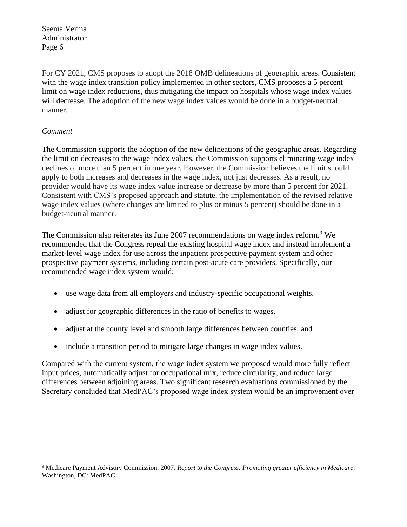For CY 2021, CMS proposes to adopt the 2018 OMB delineations of geographic areas. Consistent with the wage index transition policy implemented in other sectors, CMS proposes a 5 percent limit on wage index reductions, thus mitigating the impact on hospitals whose wage index values will decrease. The adoption of the new wage index values would be done in a budget-neutral manner.

### *Comment*

The Commission supports the adoption of the new delineations of the geographic areas. Regarding the limit on decreases to the wage index values, the Commission supports eliminating wage index declines of more than 5 percent in one year. However, the Commission believes the limit should apply to both increases and decreases in the wage index, not just decreases. As a result, no provider would have its wage index value increase or decrease by more than 5 percent for 2021. Consistent with CMS's proposed approach and statute, the implementation of the revised relative wage index values (where changes are limited to plus or minus 5 percent) should be done in a budget-neutral manner.

The Commission also reiterates its June 2007 recommendations on wage index reform.<sup>9</sup> We recommended that the Congress repeal the existing hospital wage index and instead implement a market-level wage index for use across the inpatient prospective payment system and other prospective payment systems, including certain post-acute care providers. Specifically, our recommended wage index system would:

- use wage data from all employers and industry-specific occupational weights,
- adjust for geographic differences in the ratio of benefits to wages,
- adjust at the county level and smooth large differences between counties, and
- include a transition period to mitigate large changes in wage index values.

Compared with the current system, the wage index system we proposed would more fully reflect input prices, automatically adjust for occupational mix, reduce circularity, and reduce large differences between adjoining areas. Two significant research evaluations commissioned by the Secretary concluded that MedPAC's proposed wage index system would be an improvement over

<sup>9</sup> Medicare Payment Advisory Commission. 2007. *Report to the Congress: Promoting greater efficiency in Medicare*. Washington, DC: MedPAC.